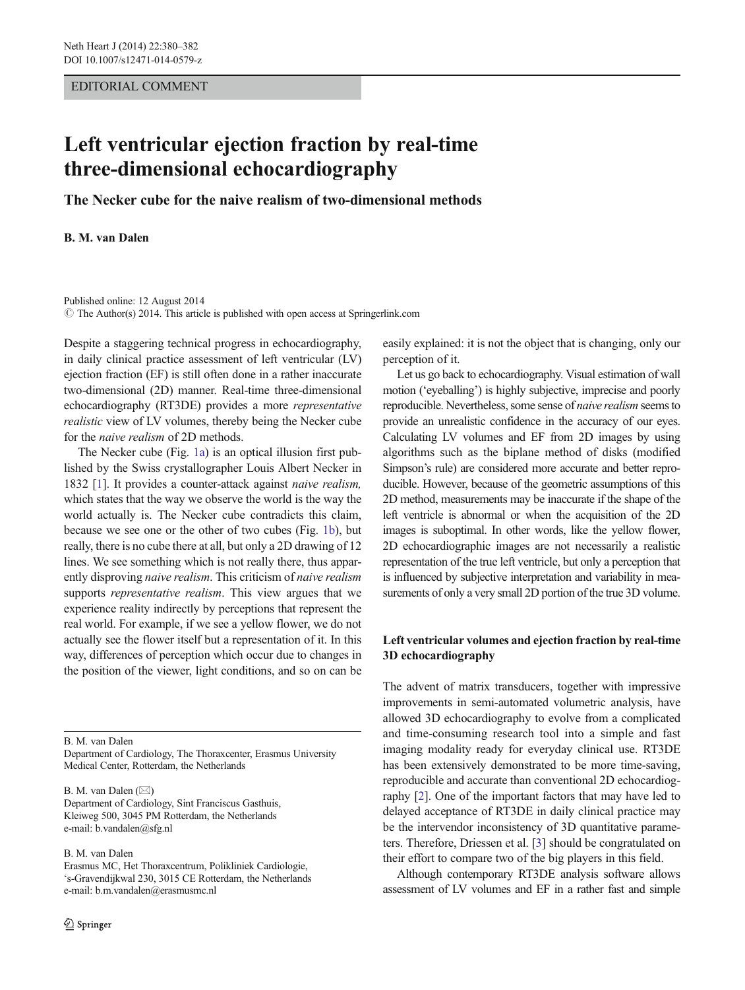#### EDITORIAL COMMENT

# Left ventricular ejection fraction by real-time three-dimensional echocardiography

The Necker cube for the naive realism of two-dimensional methods

B. M. van Dalen

Published online: 12 August 2014  $\odot$  The Author(s) 2014. This article is published with open access at Springerlink.com

Despite a staggering technical progress in echocardiography, in daily clinical practice assessment of left ventricular (LV) ejection fraction (EF) is still often done in a rather inaccurate two-dimensional (2D) manner. Real-time three-dimensional echocardiography (RT3DE) provides a more representative realistic view of LV volumes, thereby being the Necker cube for the naive realism of 2D methods.

The Necker cube (Fig. [1a\)](#page-1-0) is an optical illusion first published by the Swiss crystallographer Louis Albert Necker in 1832 [\[1](#page-2-0)]. It provides a counter-attack against naive realism, which states that the way we observe the world is the way the world actually is. The Necker cube contradicts this claim, because we see one or the other of two cubes (Fig. [1b\)](#page-1-0), but really, there is no cube there at all, but only a 2D drawing of 12 lines. We see something which is not really there, thus apparently disproving naive realism. This criticism of naive realism supports *representative realism*. This view argues that we experience reality indirectly by perceptions that represent the real world. For example, if we see a yellow flower, we do not actually see the flower itself but a representation of it. In this way, differences of perception which occur due to changes in the position of the viewer, light conditions, and so on can be

B. M. van Dalen

Department of Cardiology, The Thoraxcenter, Erasmus University Medical Center, Rotterdam, the Netherlands

B. M. van Dalen  $(\boxtimes)$ Department of Cardiology, Sint Franciscus Gasthuis, Kleiweg 500, 3045 PM Rotterdam, the Netherlands e-mail: b.vandalen@sfg.nl

B. M. van Dalen

Erasmus MC, Het Thoraxcentrum, Polikliniek Cardiologie, 's-Gravendijkwal 230, 3015 CE Rotterdam, the Netherlands e-mail: b.m.vandalen@erasmusmc.nl

easily explained: it is not the object that is changing, only our perception of it.

Let us go back to echocardiography. Visual estimation of wall motion ('eyeballing') is highly subjective, imprecise and poorly reproducible. Nevertheless, some sense of naive realism seems to provide an unrealistic confidence in the accuracy of our eyes. Calculating LV volumes and EF from 2D images by using algorithms such as the biplane method of disks (modified Simpson's rule) are considered more accurate and better reproducible. However, because of the geometric assumptions of this 2D method, measurements may be inaccurate if the shape of the left ventricle is abnormal or when the acquisition of the 2D images is suboptimal. In other words, like the yellow flower, 2D echocardiographic images are not necessarily a realistic representation of the true left ventricle, but only a perception that is influenced by subjective interpretation and variability in measurements of only a very small 2D portion of the true 3D volume.

# Left ventricular volumes and ejection fraction by real-time 3D echocardiography

The advent of matrix transducers, together with impressive improvements in semi-automated volumetric analysis, have allowed 3D echocardiography to evolve from a complicated and time-consuming research tool into a simple and fast imaging modality ready for everyday clinical use. RT3DE has been extensively demonstrated to be more time-saving, reproducible and accurate than conventional 2D echocardiography [\[2](#page-2-0)]. One of the important factors that may have led to delayed acceptance of RT3DE in daily clinical practice may be the intervendor inconsistency of 3D quantitative parameters. Therefore, Driessen et al. [\[3](#page-2-0)] should be congratulated on their effort to compare two of the big players in this field.

Although contemporary RT3DE analysis software allows assessment of LV volumes and EF in a rather fast and simple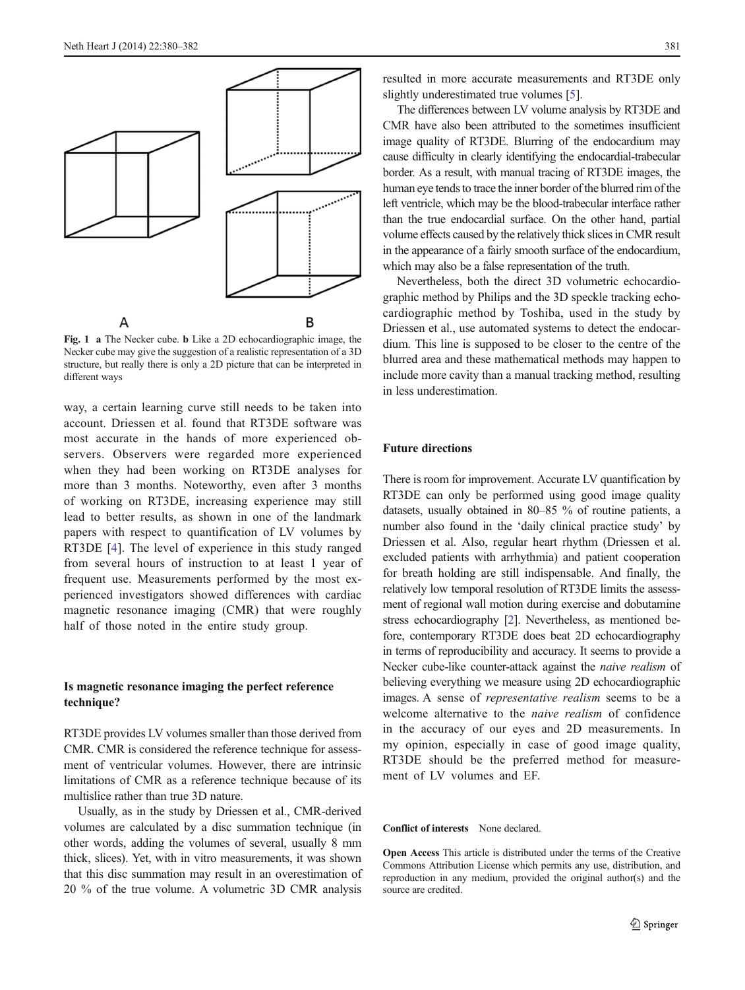<span id="page-1-0"></span>

Fig. 1 a The Necker cube. b Like a 2D echocardiographic image, the Necker cube may give the suggestion of a realistic representation of a 3D structure, but really there is only a 2D picture that can be interpreted in different ways

way, a certain learning curve still needs to be taken into account. Driessen et al. found that RT3DE software was most accurate in the hands of more experienced observers. Observers were regarded more experienced when they had been working on RT3DE analyses for more than 3 months. Noteworthy, even after 3 months of working on RT3DE, increasing experience may still lead to better results, as shown in one of the landmark papers with respect to quantification of LV volumes by RT3DE [[4\]](#page-2-0). The level of experience in this study ranged from several hours of instruction to at least 1 year of frequent use. Measurements performed by the most experienced investigators showed differences with cardiac magnetic resonance imaging (CMR) that were roughly half of those noted in the entire study group.

### Is magnetic resonance imaging the perfect reference technique?

RT3DE provides LV volumes smaller than those derived from CMR. CMR is considered the reference technique for assessment of ventricular volumes. However, there are intrinsic limitations of CMR as a reference technique because of its multislice rather than true 3D nature.

Usually, as in the study by Driessen et al., CMR-derived volumes are calculated by a disc summation technique (in other words, adding the volumes of several, usually 8 mm thick, slices). Yet, with in vitro measurements, it was shown that this disc summation may result in an overestimation of 20 % of the true volume. A volumetric 3D CMR analysis

resulted in more accurate measurements and RT3DE only slightly underestimated true volumes [[5](#page-2-0)].

The differences between LV volume analysis by RT3DE and CMR have also been attributed to the sometimes insufficient image quality of RT3DE. Blurring of the endocardium may cause difficulty in clearly identifying the endocardial-trabecular border. As a result, with manual tracing of RT3DE images, the human eye tends to trace the inner border of the blurred rim of the left ventricle, which may be the blood-trabecular interface rather than the true endocardial surface. On the other hand, partial volume effects caused by the relatively thick slices in CMR result in the appearance of a fairly smooth surface of the endocardium, which may also be a false representation of the truth.

Nevertheless, both the direct 3D volumetric echocardiographic method by Philips and the 3D speckle tracking echocardiographic method by Toshiba, used in the study by Driessen et al., use automated systems to detect the endocardium. This line is supposed to be closer to the centre of the blurred area and these mathematical methods may happen to include more cavity than a manual tracking method, resulting in less underestimation.

#### Future directions

There is room for improvement. Accurate LV quantification by RT3DE can only be performed using good image quality datasets, usually obtained in 80–85 % of routine patients, a number also found in the 'daily clinical practice study' by Driessen et al. Also, regular heart rhythm (Driessen et al. excluded patients with arrhythmia) and patient cooperation for breath holding are still indispensable. And finally, the relatively low temporal resolution of RT3DE limits the assessment of regional wall motion during exercise and dobutamine stress echocardiography [\[2\]](#page-2-0). Nevertheless, as mentioned before, contemporary RT3DE does beat 2D echocardiography in terms of reproducibility and accuracy. It seems to provide a Necker cube-like counter-attack against the naive realism of believing everything we measure using 2D echocardiographic images. A sense of representative realism seems to be a welcome alternative to the naive realism of confidence in the accuracy of our eyes and 2D measurements. In my opinion, especially in case of good image quality, RT3DE should be the preferred method for measurement of LV volumes and EF.

#### Conflict of interests None declared.

Open Access This article is distributed under the terms of the Creative Commons Attribution License which permits any use, distribution, and reproduction in any medium, provided the original author(s) and the source are credited.